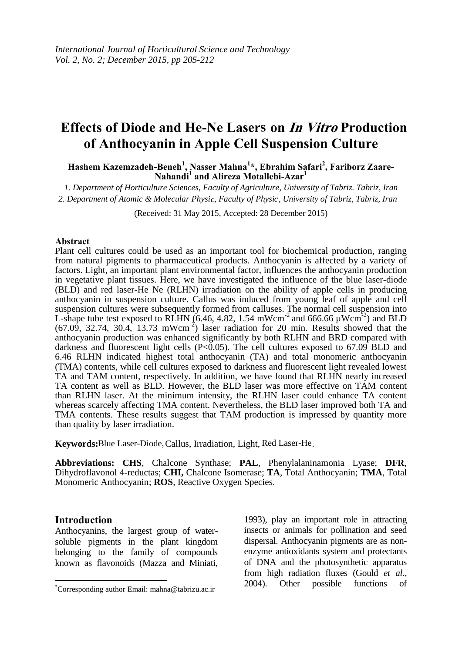# Effects of Diode and He-Ne Lasers on *In Vitro* Production **of Anthocyanin in Apple Cell Suspension Culture**

**Hashem Kazemzadeh-Beneh<sup>1</sup> , Nasser Mahna<sup>1</sup> \*, Ebrahim Safari<sup>2</sup> , Fariborz Zaare-Nahandi<sup>1</sup> and Alireza Motallebi-Azar<sup>1</sup>**

*1. Department of Horticulture Sciences, Faculty of Agriculture, University of Tabriz. Tabriz, Iran* 2. Department of Atomic & Molecular Physic, Faculty of Physic, University of Tabriz, Tabriz, Iran

(Received: 31 May 2015, Accepted: 28 December 2015)

#### **Abstract**

Plant cell cultures could be used as an important tool for biochemical production, ranging from natural pigments to pharmaceutical products. Anthocyanin is affected by a variety of factors. Light, an important plant environmental factor, influences the anthocyanin production in vegetative plant tissues. Here, we have investigated the influence of the blue laser-diode (BLD) and red laser-He Ne (RLHN) irradiation on the ability of apple cells in producing anthocyanin in suspension culture. Callus was induced from young leaf of apple and cell suspension cultures were subsequently formed from calluses. The normal cell suspension into L-shape tube test exposed to RLHN (6.46, 4.82, 1.54 mWcm<sup>-2</sup> and 666.66  $\mu$ Wcm<sup>-2</sup>) and BLD  $(67.09, 32.74, 30.4, 13.73 \text{ mWcm}^2)$  laser radiation for 20 min. Results showed that the anthocyanin production was enhanced significantly by both RLHN and BRD compared with darkness and fluorescent light cells  $(P<0.05)$ . The cell cultures exposed to 67.09 BLD and 6.46 RLHN indicated highest total anthocyanin (TA) and total monomeric anthocyanin (TMA) contents, while cell cultures exposed to darkness and fluorescent light revealed lowest TA and TAM content, respectively. In addition, we have found that RLHN nearly increased TA content as well as BLD. However, the BLD laser was more effective on TAM content than RLHN laser. At the minimum intensity, the RLHN laser could enhance TA content whereas scarcely affecting TMA content. Nevertheless, the BLD laser improved both TA and TMA contents. These results suggest that TAM production is impressed by quantity more than quality by laser irradiation.

Keywords: Blue Laser-Diode, Callus, Irradiation, Light, Red Laser-He.

**Abbreviations: CHS**, Chalcone Synthase; **PAL**, Phenylalaninamonia Lyase; **DFR**, Dihydroflavonol 4-reductas; **CHI,** Chalcone Isomerase; **TA**, Total Anthocyanin; **TMA**, Total Monomeric Anthocyanin; **ROS**, Reactive Oxygen Species.

#### **Introduction**

Anthocyanins, the largest group of watersoluble pigments in the plant kingdom belonging to the family of compounds known as flavonoids (Mazza and Miniati,

1993), play an important role in attracting insects or animals for pollination and seed dispersal. Anthocyanin pigments are as nonenzyme antioxidants system and protectants of DNA and the photosynthetic apparatus from high radiation fluxes (Gould *et al*., 2004). Other possible functions of

<sup>\*</sup>Corresponding author Email: mahna@tabrizu.ac.ir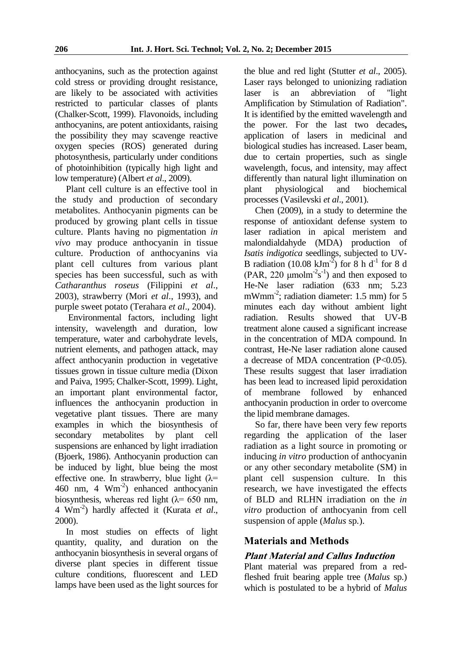anthocyanins, such as the protection against cold stress or providing drought resistance, are likely to be associated with activities restricted to particular classes of plants (Chalker-Scott, 1999). Flavonoids, including anthocyanins, are potent antioxidants, raising the possibility they may scavenge reactive oxygen species (ROS) generated during photosynthesis, particularly under conditions of photoinhibition (typically high light and low temperature) (Albert *et al*., 2009).

Plant cell culture is an effective tool in the study and production of secondary metabolites. Anthocyanin pigments can be produced by growing plant cells in tissue culture. Plants having no pigmentation *in vivo* may produce anthocyanin in tissue culture. Production of anthocyanins via plant cell cultures from various plant species has been successful, such as with *Catharanthus roseus* (Filippini *et al*., 2003), strawberry (Mori *et al*., 1993), and purple sweet potato (Terahara *et al*., 2004).

Environmental factors, including light intensity, wavelength and duration, low temperature, water and carbohydrate levels, nutrient elements, and pathogen attack, may affect anthocyanin production in vegetative tissues grown in tissue culture media (Dixon and Paiva, 1995; Chalker-Scott, 1999). Light, an important plant environmental factor, influences the anthocyanin production in vegetative plant tissues. There are many examples in which the biosynthesis of secondary metabolites by plant cell suspensions are enhanced by light irradiation (Bjoerk, 1986). Anthocyanin production can be induced by light, blue being the most effective one. In strawberry, blue light  $(\lambda =$ 460 nm, 4 Wm-2 ) enhanced anthocyanin biosynthesis, whereas red light  $(\lambda = 650 \text{ nm})$ , 4 Wm-2 ) hardly affected it (Kurata *et al*., 2000).

In most studies on effects of light quantity, quality, and duration on the anthocyanin biosynthesis in several organs of diverse plant species in different tissue culture conditions, fluorescent and LED lamps have been used as the light sources for the blue and red light (Stutter *et al*., 2005). Laser rays belonged to unionizing radiation laser is an abbreviation of "light Amplification by Stimulation of Radiation". It is identified by the emitted wavelength and the power. For the last two decades**,**  application of lasers in medicinal and biological studies has increased. Laser beam, due to certain properties, such as single wavelength, focus, and intensity, may affect differently than natural light illumination on plant physiological and biochemical processes (Vasilevski *et al*., 2001).

Chen (2009), in a study to determine the response of antioxidant defense system to laser radiation in apical meristem and malondialdahyde (MDA) production of *Isatis indigotica* seedlings, subjected to UV-B radiation (10.08  $\text{kJm}^2$ ) for 8 h d<sup>-1</sup> for 8 d (PAR, 220  $\mu$ molm<sup>-2</sup>s<sup>-1</sup>) and then exposed to He-Ne laser radiation (633 nm; 5.23 mWmm<sup>-2</sup>; radiation diameter: 1.5 mm) for 5 minutes each day without ambient light radiation. Results showed that UV-B treatment alone caused a significant increase in the concentration of MDA compound. In contrast, He-Ne laser radiation alone caused a decrease of MDA concentration (P<0.05). These results suggest that laser irradiation has been lead to increased lipid peroxidation of membrane followed by enhanced anthocyanin production in order to overcome the lipid membrane damages.

So far, there have been very few reports regarding the application of the laser radiation as a light source in promoting or inducing *in vitro* production of anthocyanin or any other secondary metabolite (SM) in plant cell suspension culture. In this research, we have investigated the effects of BLD and RLHN irradiation on the *in vitro* production of anthocyanin from cell suspension of apple (*Malus* sp*.*).

# **Materials and Methods**

# **Plant Material and Callus Induction**

Plant material was prepared from a redfleshed fruit bearing apple tree (*Malus* sp.) which is postulated to be a hybrid of *Malus*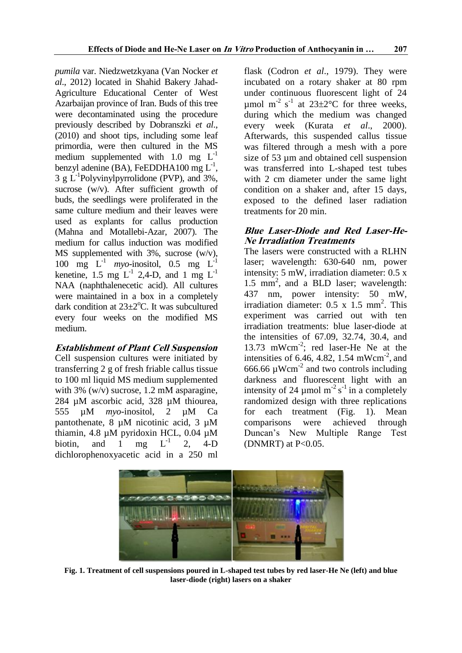*pumila* var. Niedzwetzkyana (Van Nocker *et al*., 2012) located in Shahid Bakery Jahad-Agriculture Educational Center of West Azarbaijan province of Iran. Buds of this tree were decontaminated using the procedure previously described by Dobranszki *et al*., (2010) and shoot tips, including some leaf primordia, were then cultured in the MS medium supplemented with  $1.0$  mg  $L^{-1}$ benzyl adenine (BA), FeEDDHA100 mg  $L^{-1}$ ,  $3 \text{ g L}^{-1}$ Polyvinylpyrrolidone (PVP), and 3%, sucrose (w/v). After sufficient growth of buds, the seedlings were proliferated in the same culture medium and their leaves were used as explants for callus production (Mahna and Motallebi-Azar, 2007). The medium for callus induction was modified MS supplemented with 3%, sucrose (w/v), 100 mg  $L^{-1}$  *myo*-inositol, 0.5 mg  $L^{-1}$ kenetine, 1.5 mg  $L^{-1}$  2,4-D, and 1 mg  $L^{-1}$ NAA (naphthalenecetic acid). All cultures were maintained in a box in a completely dark condition at  $23\pm2$ <sup>o</sup>C. It was subcultured every four weeks on the modified MS medium.

## **Establishment of Plant Cell Suspension**

Cell suspension cultures were initiated by transferring 2 g of fresh friable callus tissue to 100 ml liquid MS medium supplemented with 3% (w/v) sucrose, 1.2 mM asparagine, 284 µM ascorbic acid, 328 µM thiourea, 555 µM *myo*-inositol, 2 µM Ca pantothenate, 8 µM nicotinic acid, 3 µM thiamin, 4.8 µM pyridoxin HCL, 0.04 µM biotin, and 1 mg  ${\color{MyBlue}\textrm{L}^{-1}}$ 2, 4-D dichlorophenoxyacetic acid in a 250 ml

flask (Codron *et al*., 1979). They were incubated on a rotary shaker at 80 rpm under continuous fluorescent light of 24 µmol m<sup>-2</sup> s<sup>-1</sup> at 23±2°C for three weeks, during which the medium was changed every week (Kurata *et al*., 2000). Afterwards, this suspended callus tissue was filtered through a mesh with a pore size of 53 um and obtained cell suspension was transferred into L-shaped test tubes with 2 cm diameter under the same light condition on a shaker and, after 15 days, exposed to the defined laser radiation treatments for 20 min.

# **Blue Laser-Diode and Red Laser-He-Ne Irradiation Treatments**

The lasers were constructed with a RLHN laser; wavelength: 630-640 nm, power intensity: 5 mW, irradiation diameter: 0.5 x 1.5 mm<sup>2</sup>, and a BLD laser; wavelength: 437 nm, power intensity: 50 mW, irradiation diameter:  $0.5 \times 1.5 \text{ mm}^2$ . This experiment was carried out with ten irradiation treatments: blue laser-diode at the intensities of 67.09, 32.74, 30.4, and 13.73 mWcm-2 ; red laser-He Ne at the intensities of 6.46, 4.82, 1.54 mWcm<sup>-2</sup>, and 666.66  $\mu$ Wcm<sup>-2</sup> and two controls including darkness and fluorescent light with an intensity of 24  $\mu$ mol m<sup>-2</sup> s<sup>-1</sup> in a completely randomized design with three replications for each treatment (Fig. 1). Mean comparisons were achieved through Duncan's New Multiple Range Test (DNMRT) at  $P<0.05$ .



**Fig. 1. Treatment of cell suspensions poured in L-shaped test tubes by red laser-He Ne (left) and blue laser-diode (right) lasers on a shaker**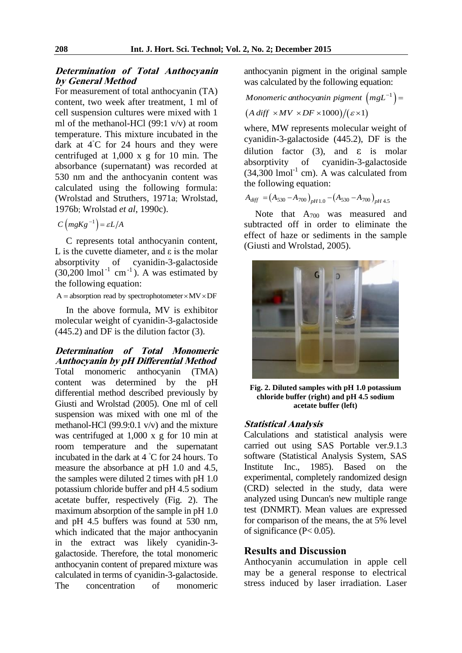### **Determination of Total Anthocyanin by General Method**

For measurement of total anthocyanin (TA) content, two week after treatment, 1 ml of cell suspension cultures were mixed with 1 ml of the methanol-HCl (99:1 v/v) at room temperature. This mixture incubated in the dark at  $4°C$  for 24 hours and they were centrifuged at 1,000 x g for 10 min. The absorbance (supernatant) was recorded at 530 nm and the anthocyanin content was calculated using the following formula: (Wrolstad and Struthers, 1971a; Wrolstad, 1976b; Wrolstad *et al*, 1990c).

$$
C\left(mgKg^{-1}\right) = \varepsilon L/A
$$

C represents total anthocyanin content, L is the cuvette diameter, and  $\varepsilon$  is the molar absorptivity of cyanidin-3-galactoside  $(30,200 \text{ lmol}^{-1} \text{ cm}^{-1})$ . A was estimated by the following equation:

 $A =$  absorption read by spectrophotometer  $\times$  MV  $\times$  DF

In the above formula, MV is exhibitor molecular weight of cyanidin-3-galactoside (445.2) and DF is the dilution factor (3).

**Determination of Total Monomeric Anthocyanin by pH Differential Method**  Total monomeric anthocyanin (TMA) content was determined by the pH differential method described previously by Giusti and Wrolstad (2005). One ml of cell suspension was mixed with one ml of the methanol-HCl (99.9:0.1 v/v) and the mixture was centrifuged at 1,000 x g for 10 min at room temperature and the supernatant incubated in the dark at 4 ◦C for 24 hours. To measure the absorbance at pH 1.0 and 4.5, the samples were diluted 2 times with pH 1.0 potassium chloride buffer and pH 4.5 sodium acetate buffer, respectively (Fig. 2). The maximum absorption of the sample in pH 1.0 and pH 4.5 buffers was found at 530 nm, which indicated that the major anthocyanin in the extract was likely cyanidin-3 galactoside. Therefore, the total monomeric anthocyanin content of prepared mixture was calculated in terms of cyanidin-3-galactoside. The concentration of monomeric

anthocyanin pigment in the original sample<br>was calculated by the following equation:<br>Monomeric anthocyanin pigment  $(mgL^{-1})$  =

was calculated by the following equation:  
*Monomeric anthocyanin pigment* 
$$
(mgL^{-1}) =
$$
  
 $(A \text{ diff} \times MV \times DF \times 1000) / (\varepsilon \times 1)$ 

where, MW represents molecular weight of cyanidin-3-galactoside (445.2), DF is the dilution factor (3), and  $\varepsilon$  is molar absorptivity of cyanidin-3-galactoside  $(34,300 \text{ l} \text{mol}^{-1} \text{ cm})$ . A was calculated from the following equation:<br>  $A_{diff} = (A_{530} - A_{700})_{pH1.0} - (A_{530} - A_{700})_{pH4.5}$ 

$$
A_{\text{diff}} = (A_{530} - A_{700})_{\text{pH 1.0}} - (A_{530} - A_{700})_{\text{pH 4.5}}
$$

Note that  $A_{700}$  was measured and subtracted off in order to eliminate the effect of haze or sediments in the sample (Giusti and Wrolstad, 2005).



**Fig. 2. Diluted samples with pH 1.0 potassium chloride buffer (right) and pH 4.5 sodium acetate buffer (left)** 

#### **Statistical Analysis**

Calculations and statistical analysis were carried out using SAS Portable ver.9.1.3 software (Statistical Analysis System, SAS Institute Inc., 1985). Based on the experimental, completely randomized design (CRD) selected in the study, data were analyzed using Duncan's new multiple range test (DNMRT). Mean values are expressed for comparison of the means, the at 5% level of significance (P< 0.05).

## **Results and Discussion**

Anthocyanin accumulation in apple cell may be a general response to electrical stress induced by laser irradiation. Laser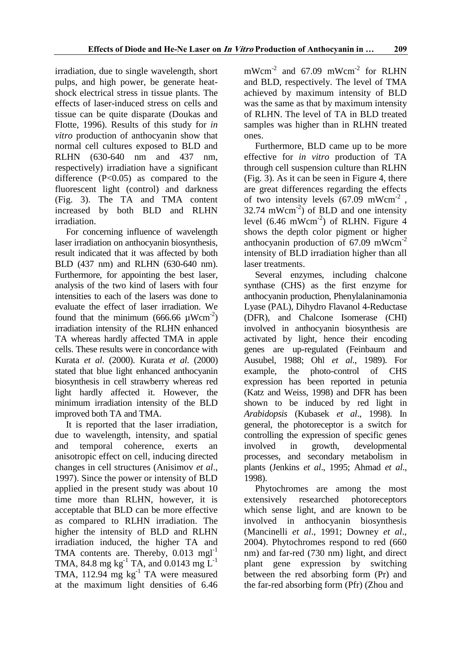irradiation, due to single wavelength, short pulps, and high power, be generate heatshock electrical stress in tissue plants. The effects of laser-induced stress on cells and tissue can be quite disparate (Doukas and Flotte, 1996). Results of this study for *in vitro* production of anthocyanin show that normal cell cultures exposed to BLD and RLHN (630-640 nm and 437 nm, respectively) irradiation have a significant difference  $(P<0.05)$  as compared to the fluorescent light (control) and darkness (Fig. 3). The TA and TMA content increased by both BLD and RLHN irradiation.

For concerning influence of wavelength laser irradiation on anthocyanin biosynthesis, result indicated that it was affected by both BLD (437 nm) and RLHN (630-640 nm). Furthermore, for appointing the best laser, analysis of the two kind of lasers with four intensities to each of the lasers was done to evaluate the effect of laser irradiation. We found that the minimum (666.66  $\mu$ Wcm<sup>-2</sup>) irradiation intensity of the RLHN enhanced TA whereas hardly affected TMA in apple cells. These results were in concordance with Kurata *et al*. (2000). Kurata *et al*. (2000) stated that blue light enhanced anthocyanin biosynthesis in cell strawberry whereas red light hardly affected it. However, the minimum irradiation intensity of the BLD improved both TA and TMA.

It is reported that the laser irradiation, due to wavelength, intensity, and spatial and temporal coherence, exerts an anisotropic effect on cell, inducing directed changes in cell structures (Anisimov *et al*., 1997). Since the power or intensity of BLD applied in the present study was about 10 time more than RLHN, however, it is acceptable that BLD can be more effective as compared to RLHN irradiation. The higher the intensity of BLD and RLHN irradiation induced, the higher TA and TMA contents are. Thereby,  $0.013$  mgl<sup>-1</sup> TMA, 84.8 mg kg<sup>-1</sup> TA, and 0.0143 mg  $L^{-1}$ TMA, 112.94 mg kg<sup>-1</sup> TA were measured at the maximum light densities of 6.46

 $mWcm<sup>-2</sup>$  and 67.09  $mWcm<sup>-2</sup>$  for RLHN and BLD, respectively. The level of TMA achieved by maximum intensity of BLD was the same as that by maximum intensity of RLHN. The level of TA in BLD treated samples was higher than in RLHN treated ones.

Furthermore, BLD came up to be more effective for *in vitro* production of TA through cell suspension culture than RLHN (Fig. 3). As it can be seen in Figure 4, there are great differences regarding the effects of two intensity levels  $(67.09 \text{ mWcm}^{-2})$ ,  $32.74$  mWcm<sup>-2</sup>) of BLD and one intensity level  $(6.46 \text{ mWcm}^{-2})$  of RLHN. Figure 4 shows the depth color pigment or higher anthocyanin production of  $67.09$  mWcm<sup>-2</sup> intensity of BLD irradiation higher than all laser treatments.

Several enzymes, including chalcone synthase (CHS) as the first enzyme for anthocyanin production, Phenylalaninamonia Lyase (PAL), Dihydro Flavanol 4-Reductase (DFR), and Chalcone Isomerase (CHI) involved in anthocyanin biosynthesis are activated by light, hence their encoding genes are up-regulated (Feinbaum and Ausubel, 1988; Ohl *et al*., 1989). For example, the photo-control of CHS expression has been reported in petunia (Katz and Weiss, 1998) and DFR has been shown to be induced by red light in *Arabidopsis* (Kubasek *et al*., 1998). In general, the photoreceptor is a switch for controlling the expression of specific genes involved in growth, developmental processes, and secondary metabolism in plants (Jenkins *et al*., 1995; Ahmad *et al*., 1998).

Phytochromes are among the most extensively researched photoreceptors which sense light, and are known to be involved in anthocyanin biosynthesis (Mancinelli *et al*., 1991; Downey *et al*., 2004). Phytochromes respond to red (660 nm) and far-red (730 nm) light, and direct plant gene expression by switching between the red absorbing form (Pr) and the far-red absorbing form (Pfr) (Zhou and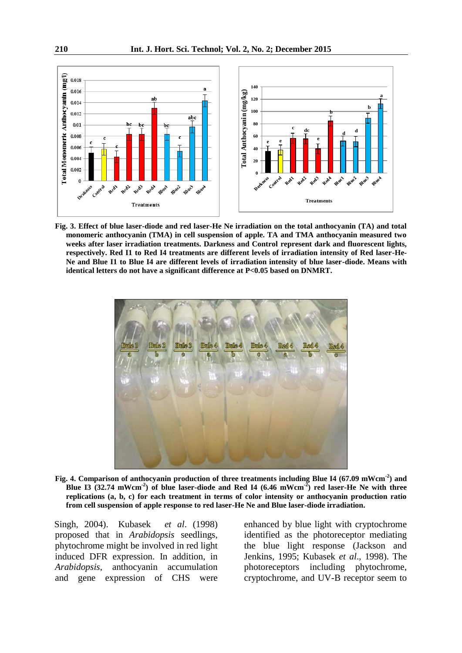

**Fig. 3. Effect of blue laser-diode and red laser-He Ne irradiation on the total anthocyanin (TA) and total monomeric anthocyanin (TMA) in cell suspension of apple. TA and TMA anthocyanin measured two weeks after laser irradiation treatments. Darkness and Control represent dark and fluorescent lights, respectively. Red I1 to Red I4 treatments are different levels of irradiation intensity of Red laser-He-Ne and Blue I1 to Blue I4 are different levels of irradiation intensity of blue laser-diode. Means with identical letters do not have a significant difference at P<0.05 based on DNMRT.** 



**Fig. 4. Comparison of anthocyanin production of three treatments including Blue I4 (67.09 mWcm-2) and Blue I3 (32.74 mWcm-2) of blue laser-diode and Red I4 (6.46 mWcm-2) red laser-He Ne with three replications (a, b, c) for each treatment in terms of color intensity or anthocyanin production ratio from cell suspension of apple response to red laser-He Ne and Blue laser-diode irradiation.** 

Singh, 2004). Kubasek *et al*. (1998) proposed that in *Arabidopsis* seedlings, phytochrome might be involved in red light induced DFR expression. In addition, in *Arabidopsis*, anthocyanin accumulation and gene expression of CHS were enhanced by blue light with cryptochrome identified as the photoreceptor mediating the blue light response (Jackson and Jenkins, 1995; Kubasek *et al*., 1998). The photoreceptors including phytochrome, cryptochrome, and UV-B receptor seem to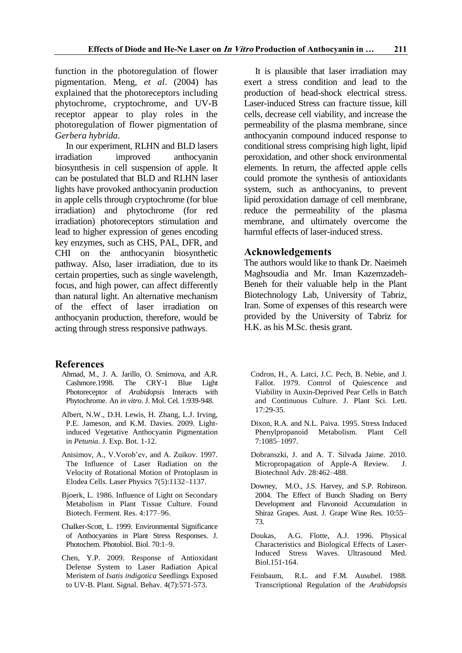function in the photoregulation of flower pigmentation. Meng, *et al*. (2004) has explained that the photoreceptors including phytochrome, cryptochrome, and UV-B receptor appear to play roles in the photoregulation of flower pigmentation of *Gerbera hybrida*.

In our experiment, RLHN and BLD lasers irradiation improved anthocyanin biosynthesis in cell suspension of apple. It can be postulated that BLD and RLHN laser lights have provoked anthocyanin production in apple cells through cryptochrome (for blue irradiation) and phytochrome (for red irradiation) photoreceptors stimulation and lead to higher expression of genes encoding key enzymes, such as CHS, PAL, DFR, and CHI on the anthocyanin biosynthetic pathway. Also, laser irradiation, due to its certain properties, such as single wavelength, focus, and high power, can affect differently than natural light. An alternative mechanism of the effect of laser irradiation on anthocyanin production, therefore, would be acting through stress responsive pathways.

## **References**

- Ahmad, M., J. A. Jarillo, O. Smirnova, and A.R. Cashmore.1998. The CRY-1 Blue Light Photoreceptor of *Arabidopsis* Interacts with Phytochrome. An *in vitro*. J. Mol. Cel. 1:939-948.
- Albert, N.W., D.H. Lewis, H. Zhang, L.J. Irving, P.E. Jameson, and K.M. Davies. 2009. Lightinduced Vegetative Anthocyanin Pigmentation in *Petunia*. J. Exp. Bot*.* 1-12.
- Anisimov, A., V.Vorob'ev, and A. Zuikov. 1997. The Influence of Laser Radiation on the Velocity of Rotational Motion of Protoplasm in Elodea Cells. Laser Physics 7(5):1132–1137.
- Bjoerk, L. 1986. Influence of Light on Secondary Metabolism in Plant Tissue Culture*.* Found Biotech. Ferment. Res. 4:177–96.
- Chalker-Scott, L. 1999. Environmental Significance of Anthocyanins in Plant Stress Responses*.* J. Photochem. Photobiol. Biol. 70:1–9.
- Chen, Y.P. 2009. Response of Antioxidant Defense System to Laser Radiation Apical Meristem of *Isatis indigotica* Seedlings Exposed to UV-B. Plant. Signal. Behav. 4(7):571-573.

It is plausible that laser irradiation may exert a stress condition and lead to the production of head-shock electrical stress. Laser-induced Stress can fracture tissue, kill cells, decrease cell viability, and increase the permeability of the plasma membrane, since anthocyanin compound induced response to conditional stress comprising high light, lipid peroxidation, and other shock environmental elements. In return, the affected apple cells could promote the synthesis of antioxidants system, such as anthocyanins, to prevent lipid peroxidation damage of cell membrane, reduce the permeability of the plasma membrane, and ultimately overcome the harmful effects of laser-induced stress.

# **Acknowledgements**

The authors would like to thank Dr. Naeimeh Maghsoudia and Mr. Iman Kazemzadeh-Beneh for their valuable help in the Plant Biotechnology Lab, University of Tabriz, Iran. Some of expenses of this research were provided by the University of Tabriz for H.K. as his M.Sc. thesis grant.

- Codron, H., A. Latci, J.C. Pech, B. Nebie, and J. Fallot. 1979. Control of Quiescence and Viability in Auxin-Deprived Pear Cells in Batch and Continuous Culture. J. Plant Sci. Lett. 17:29-35.
- Dixon, R.A. and N.L. Paiva. 1995. Stress Induced Phenylpropanoid Metabolism. Plant Cell 7:1085–1097.
- Dobranszki, J. and A. T. Silvada Jaime. 2010. Micropropagation of Apple-A Review. Biotechnol Adv. 28:462–488.
- Downey, M.O., J.S. Harvey, and S.P. Robinson. 2004. The Effect of Bunch Shading on Berry Development and Flavonoid Accumulation in Shiraz Grapes. Aust. J. Grape Wine Res*.* 10:55– 73.
- Doukas, A.G. Flotte, A.J. 1996. Physical Characteristics and Biological Effects of Laser-Induced Stress Waves. Ultrasound Med. Biol.151-164.
- Feinbaum, R.L. and F.M. Ausubel. 1988. Transcriptional Regulation of the *Arabidopsis*